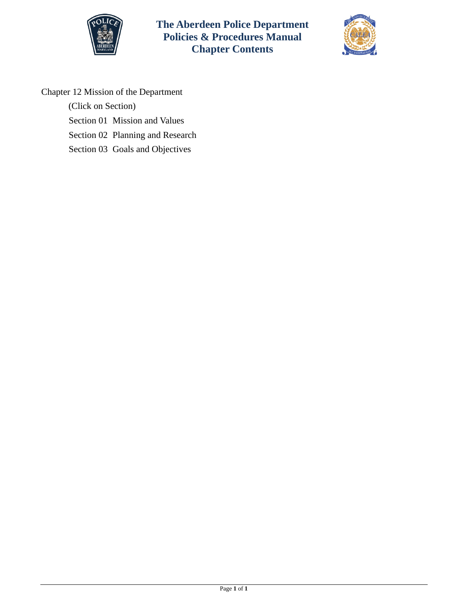



Chapter 12 Mission of the Department

(Click on Section)

[Section 01 Mission and Values](#page-1-0)

[Section 02 Planning and Research](#page-2-0)

[Section 03 Goals and Objectives](#page-4-0)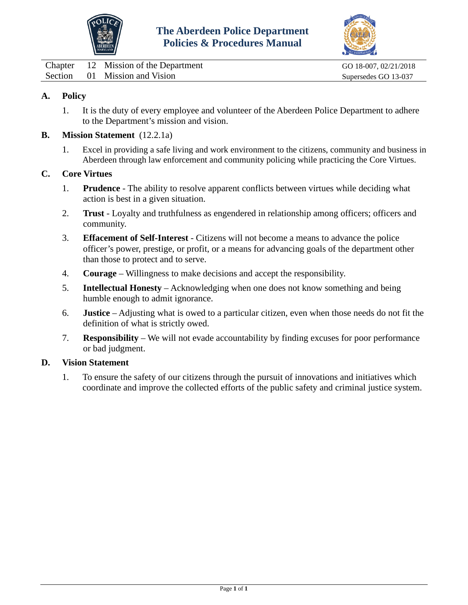



<span id="page-1-0"></span>

| Chapter | 12 Mission of the Department  |
|---------|-------------------------------|
|         | Section 01 Mission and Vision |

# **A. Policy**

1. It is the duty of every employee and volunteer of the Aberdeen Police Department to adhere to the Department's mission and vision.

### **B. Mission Statement** (12.2.1a)

1. Excel in providing a safe living and work environment to the citizens, community and business in Aberdeen through law enforcement and community policing while practicing the Core Virtues.

#### **C. Core Virtues**

- 1. **Prudence** The ability to resolve apparent conflicts between virtues while deciding what action is best in a given situation.
- 2. **Trust** Loyalty and truthfulness as engendered in relationship among officers; officers and community.
- 3. **Effacement of Self-Interest** Citizens will not become a means to advance the police officer's power, prestige, or profit, or a means for advancing goals of the department other than those to protect and to serve.
- 4. **Courage** Willingness to make decisions and accept the responsibility.
- 5. **Intellectual Honesty** Acknowledging when one does not know something and being humble enough to admit ignorance.
- 6. **Justice** Adjusting what is owed to a particular citizen, even when those needs do not fit the definition of what is strictly owed.
- 7. **Responsibility** We will not evade accountability by finding excuses for poor performance or bad judgment.

#### **D. Vision Statement**

1. To ensure the safety of our citizens through the pursuit of innovations and initiatives which coordinate and improve the collected efforts of the public safety and criminal justice system.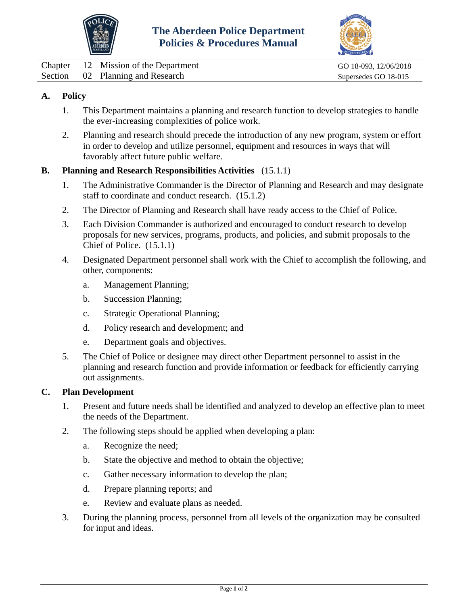



<span id="page-2-0"></span>

|  | Chapter 12 Mission of the Department | GO 18-093, 12/06/2018 |
|--|--------------------------------------|-----------------------|
|  | Section 02 Planning and Research     | Supersedes GO 18-015  |

# **A. Policy**

- 1. This Department maintains a planning and research function to develop strategies to handle the ever-increasing complexities of police work.
- 2. Planning and research should precede the introduction of any new program, system or effort in order to develop and utilize personnel, equipment and resources in ways that will favorably affect future public welfare.

## **B. Planning and Research Responsibilities Activities** (15.1.1)

- 1. The Administrative Commander is the Director of Planning and Research and may designate staff to coordinate and conduct research. (15.1.2)
- 2. The Director of Planning and Research shall have ready access to the Chief of Police.
- 3. Each Division Commander is authorized and encouraged to conduct research to develop proposals for new services, programs, products, and policies, and submit proposals to the Chief of Police. (15.1.1)
- 4. Designated Department personnel shall work with the Chief to accomplish the following, and other, components:
	- a. Management Planning;
	- b. Succession Planning;
	- c. Strategic Operational Planning;
	- d. Policy research and development; and
	- e. Department goals and objectives.
- 5. The Chief of Police or designee may direct other Department personnel to assist in the planning and research function and provide information or feedback for efficiently carrying out assignments.

#### **C. Plan Development**

- 1. Present and future needs shall be identified and analyzed to develop an effective plan to meet the needs of the Department.
- 2. The following steps should be applied when developing a plan:
	- a. Recognize the need;
	- b. State the objective and method to obtain the objective;
	- c. Gather necessary information to develop the plan;
	- d. Prepare planning reports; and
	- e. Review and evaluate plans as needed.
- 3. During the planning process, personnel from all levels of the organization may be consulted for input and ideas.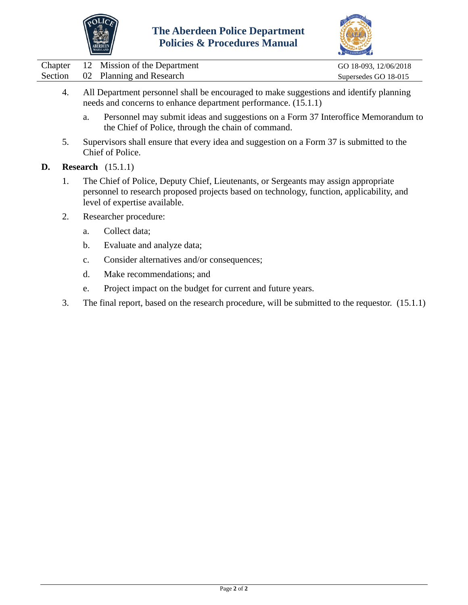



|  | Chapter 12 Mission of the Department | GO 18-093, 12/06/2018 |
|--|--------------------------------------|-----------------------|
|  | Section 02 Planning and Research     | Supersedes GO 18-015  |

- 4. All Department personnel shall be encouraged to make suggestions and identify planning needs and concerns to enhance department performance. (15.1.1)
	- a. Personnel may submit ideas and suggestions on a Form 37 Interoffice Memorandum to the Chief of Police, through the chain of command.
- 5. Supervisors shall ensure that every idea and suggestion on a Form 37 is submitted to the Chief of Police.
- **D. Research** (15.1.1)
	- 1. The Chief of Police, Deputy Chief, Lieutenants, or Sergeants may assign appropriate personnel to research proposed projects based on technology, function, applicability, and level of expertise available.
	- 2. Researcher procedure:
		- a. Collect data;
		- b. Evaluate and analyze data;
		- c. Consider alternatives and/or consequences;
		- d. Make recommendations; and
		- e. Project impact on the budget for current and future years.
	- 3. The final report, based on the research procedure, will be submitted to the requestor. (15.1.1)